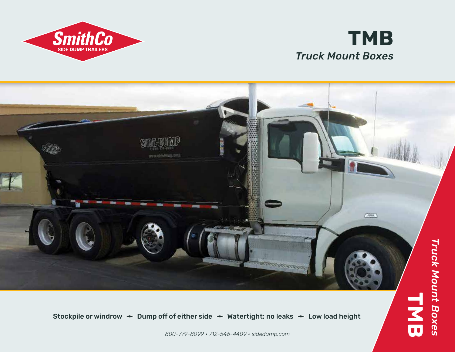

**SmithCo SIDE DUMP TRAILERS** 





Stockpile or windrow  $\div$  Dump off of either side  $\div$  Watertight; no leaks  $\div$  Low load height

*800-779-8099 • 712-546-4409 • sidedump.com*